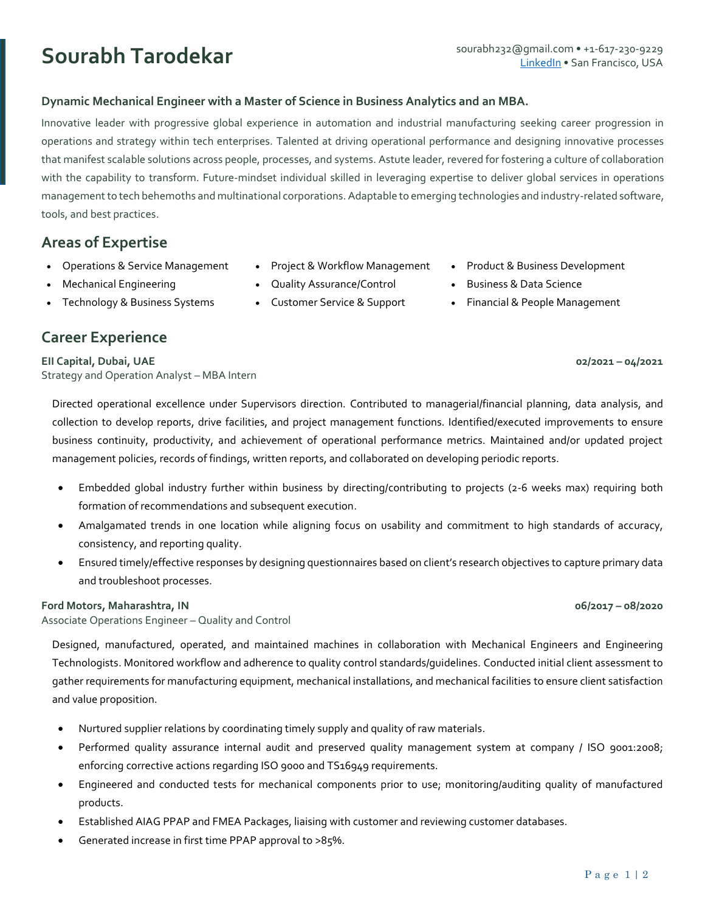## **Dynamic Mechanical Engineer with a Master of Science in Business Analytics and an MBA.**

Innovative leader with progressive global experience in automation and industrial manufacturing seeking career progression in operations and strategy within tech enterprises. Talented at driving operational performance and designing innovative processes that manifest scalable solutions across people, processes, and systems. Astute leader, revered for fostering a culture of collaboration with the capability to transform. Future-mindset individual skilled in leveraging expertise to deliver global services in operations management to tech behemoths and multinational corporations. Adaptable to emerging technologies and industry-related software, tools, and best practices.

# **Areas of Expertise**

- Operations & Service Management
- Mechanical Engineering
- Technology & Business Systems

## **Career Experience**

**EII Capital, Dubai, UAE 02/2021 – 04/2021** Strategy and Operation Analyst – MBA Intern

Directed operational excellence under Supervisors direction. Contributed to managerial/financial planning, data analysis, and collection to develop reports, drive facilities, and project management functions. Identified/executed improvements to ensure business continuity, productivity, and achievement of operational performance metrics. Maintained and/or updated project management policies, records of findings, written reports, and collaborated on developing periodic reports.

- Embedded global industry further within business by directing/contributing to projects (2-6 weeks max) requiring both formation of recommendations and subsequent execution.
- Amalgamated trends in one location while aligning focus on usability and commitment to high standards of accuracy, consistency, and reporting quality.
- Ensured timely/effective responses by designing questionnaires based on client's research objectives to capture primary data and troubleshoot processes.

## **Ford Motors, Maharashtra, IN 06/2017 – 08/2020**

Associate Operations Engineer – Quality and Control

Designed, manufactured, operated, and maintained machines in collaboration with Mechanical Engineers and Engineering Technologists. Monitored workflow and adherence to quality control standards/guidelines. Conducted initial client assessment to gather requirements for manufacturing equipment, mechanical installations, and mechanical facilities to ensure client satisfaction and value proposition.

- Nurtured supplier relations by coordinating timely supply and quality of raw materials.
- Performed quality assurance internal audit and preserved quality management system at company / ISO 9001:2008; enforcing corrective actions regarding ISO 9000 and TS16949 requirements.
- Engineered and conducted tests for mechanical components prior to use; monitoring/auditing quality of manufactured products.
- Established AIAG PPAP and FMEA Packages, liaising with customer and reviewing customer databases.
- Generated increase in first time PPAP approval to >85%.

P a g e 1 | 2

- Project & Workflow Management
- Quality Assurance/Control
- Customer Service & Support
- Product & Business Development
- Business & Data Science
- Financial & People Management